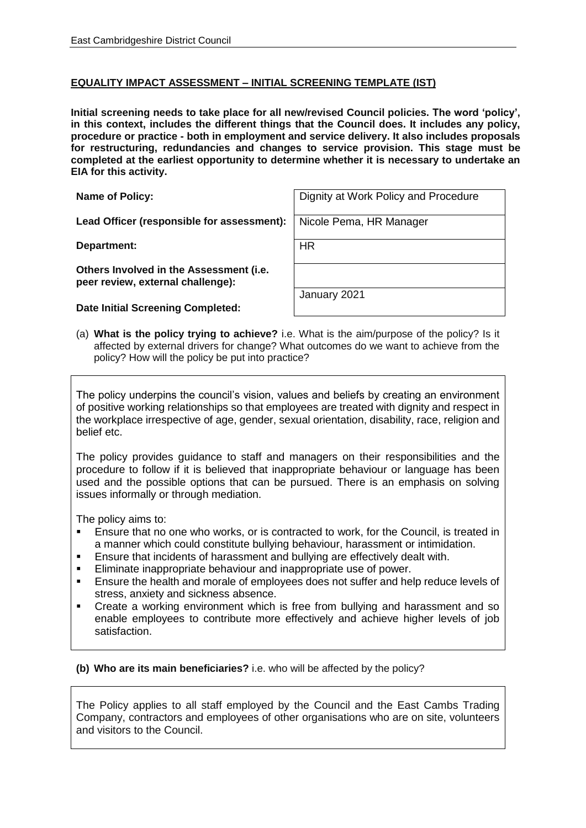## **EQUALITY IMPACT ASSESSMENT – INITIAL SCREENING TEMPLATE (IST)**

**Initial screening needs to take place for all new/revised Council policies. The word 'policy', in this context, includes the different things that the Council does. It includes any policy, procedure or practice - both in employment and service delivery. It also includes proposals for restructuring, redundancies and changes to service provision. This stage must be completed at the earliest opportunity to determine whether it is necessary to undertake an EIA for this activity.**

Lead Officer (responsible for assessment): Nicole Pema, HR Manager

**Department:** HR

**Others Involved in the Assessment (i.e. peer review, external challenge):**

**Date Initial Screening Completed:**

**Name of Policy:** Name of Policy:  $\vert$  Dignity at Work Policy and Procedure

January 2021

(a) **What is the policy trying to achieve?** i.e. What is the aim/purpose of the policy? Is it affected by external drivers for change? What outcomes do we want to achieve from the policy? How will the policy be put into practice?

The policy underpins the council's vision, values and beliefs by creating an environment of positive working relationships so that employees are treated with dignity and respect in the workplace irrespective of age, gender, sexual orientation, disability, race, religion and belief etc.

The policy provides guidance to staff and managers on their responsibilities and the procedure to follow if it is believed that inappropriate behaviour or language has been used and the possible options that can be pursued. There is an emphasis on solving issues informally or through mediation.

The policy aims to:

- Ensure that no one who works, or is contracted to work, for the Council, is treated in a manner which could constitute bullying behaviour, harassment or intimidation.
- **E** Ensure that incidents of harassment and bullying are effectively dealt with.
- Eliminate inappropriate behaviour and inappropriate use of power.
- **Ensure the health and morale of employees does not suffer and help reduce levels of** stress, anxiety and sickness absence.
- Create a working environment which is free from bullying and harassment and so enable employees to contribute more effectively and achieve higher levels of job satisfaction.

**(b) Who are its main beneficiaries?** i.e. who will be affected by the policy?

The Policy applies to all staff employed by the Council and the East Cambs Trading Company, contractors and employees of other organisations who are on site, volunteers and visitors to the Council.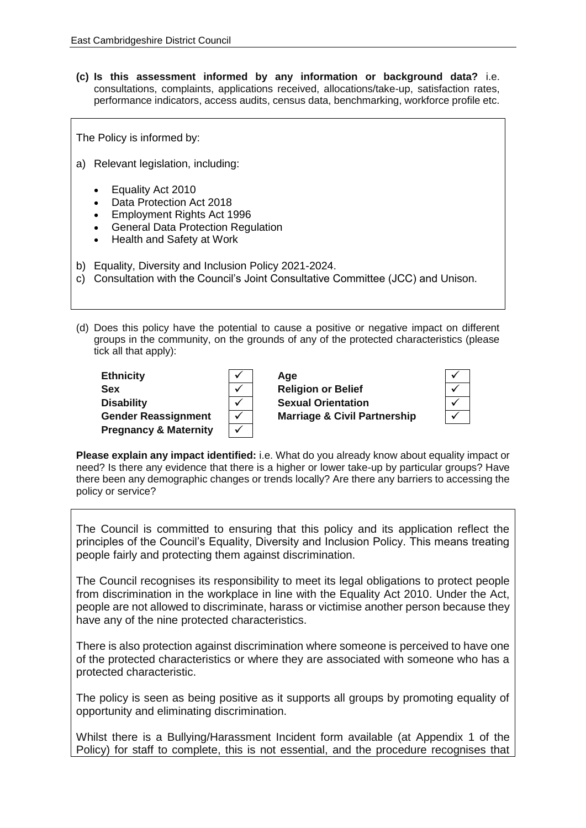**(c) Is this assessment informed by any information or background data?** i.e. consultations, complaints, applications received, allocations/take-up, satisfaction rates, performance indicators, access audits, census data, benchmarking, workforce profile etc.

The Policy is informed by:

- a) Relevant legislation, including:
	- [Equality Act 2010](https://app.croneri.co.uk/reference-articles/law-and-guidance/legislation-tracker/equality-act-2010-1#DCAM-3896200)
	- Data Protection Act 2018
	- Employment Rights Act 1996
	- General Data Protection Regulation
	- Health and Safety at Work
- b) Equality, Diversity and Inclusion Policy 2021-2024.
- c) Consultation with the Council's Joint Consultative Committee (JCC) and Unison.

(d) Does this policy have the potential to cause a positive or negative impact on different groups in the community, on the grounds of any of the protected characteristics (please tick all that apply):

| <b>Ethnicity</b>                 | √            | Aae                                     |  |
|----------------------------------|--------------|-----------------------------------------|--|
| <b>Sex</b>                       |              | <b>Religion or Belief</b>               |  |
| <b>Disability</b>                | $\checkmark$ | <b>Sexual Orientation</b>               |  |
| <b>Gender Reassignment</b>       | $\checkmark$ | <b>Marriage &amp; Civil Partnership</b> |  |
| <b>Pregnancy &amp; Maternity</b> | $\checkmark$ |                                         |  |

**Please explain any impact identified:** i.e. What do you already know about equality impact or need? Is there any evidence that there is a higher or lower take-up by particular groups? Have there been any demographic changes or trends locally? Are there any barriers to accessing the policy or service?

The Council is committed to ensuring that this policy and its application reflect the principles of the Council's Equality, Diversity and Inclusion Policy. This means treating people fairly and protecting them against discrimination.

The Council recognises its responsibility to meet its legal obligations to protect people from discrimination in the workplace in line with the Equality Act 2010. Under the Act, people are not allowed to discriminate, harass or victimise another person because they have any of the nine protected characteristics.

There is also protection against discrimination where someone is perceived to have one of the protected characteristics or where they are associated with someone who has a protected characteristic.

The policy is seen as being positive as it supports all groups by promoting equality of opportunity and eliminating discrimination.

Whilst there is a Bullying/Harassment Incident form available (at Appendix 1 of the Policy) for staff to complete, this is not essential, and the procedure recognises that